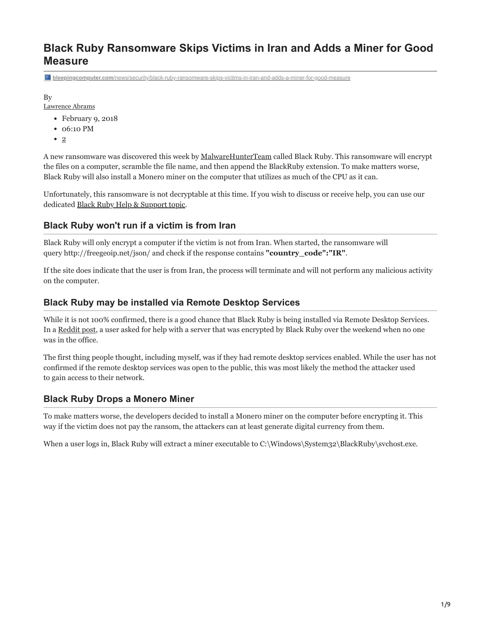# **Black Ruby Ransomware Skips Victims in Iran and Adds a Miner for Good Measure**

**bleepingcomputer.com**[/news/security/black-ruby-ransomware-skips-victims-in-iran-and-adds-a-miner-for-good-measure](https://www.bleepingcomputer.com/news/security/black-ruby-ransomware-skips-victims-in-iran-and-adds-a-miner-for-good-measure/)

By

[Lawrence Abrams](https://www.bleepingcomputer.com/author/lawrence-abrams/)

- February 9, 2018
- 06:10 PM
- $\bullet$  [2](#page-7-0)

A new ransomware was discovered this week by [MalwareHunterTeam](https://twitter.com/malwrhunterteam/status/960869408209014784) called Black Ruby. This ransomware will encrypt the files on a computer, scramble the file name, and then append the BlackRuby extension. To make matters worse, Black Ruby will also install a Monero miner on the computer that utilizes as much of the CPU as it can.

Unfortunately, this ransomware is not decryptable at this time. If you wish to discuss or receive help, you can use our dedicated [Black Ruby Help & Support topic.](https://www.bleepingcomputer.com/forums/t/670337/black-ruby-ransomware-help-support-blackruby-how-to-decrypt-filestxt/)

## **Black Ruby won't run if a victim is from Iran**

Black Ruby will only encrypt a computer if the victim is not from Iran. When started, the ransomware will query http://freegeoip.net/json/ and check if the response contains **"country\_code":"IR"**.

If the site does indicate that the user is from Iran, the process will terminate and will not perform any malicious activity on the computer.

## **Black Ruby may be installed via Remote Desktop Services**

While it is not 100% confirmed, there is a good chance that Black Ruby is being installed via Remote Desktop Services. In a [Reddit post,](https://www.reddit.com/r/Ransomware/comments/7wcika/blackruby_ransomware_on_my_server/?st=jdghbpz4&sh=73c827a4) a user asked for help with a server that was encrypted by Black Ruby over the weekend when no one was in the office.

The first thing people thought, including myself, was if they had remote desktop services enabled. While the user has not confirmed if the remote desktop services was open to the public, this was most likely the method the attacker used to gain access to their network.

## **Black Ruby Drops a Monero Miner**

To make matters worse, the developers decided to install a Monero miner on the computer before encrypting it. This way if the victim does not pay the ransom, the attackers can at least generate digital currency from them.

When a user logs in, Black Ruby will extract a miner executable to C:\Windows\System32\BlackRuby\svchost.exe.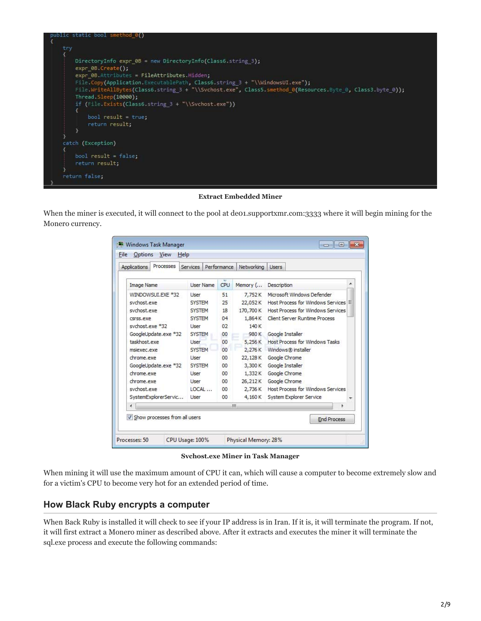

**Extract Embedded Miner**

When the miner is executed, it will connect to the pool at de01.supportxmr.com:3333 where it will begin mining for the Monero currency.

| Processes<br>Applications       | Services         | Performance | Networking | Lisers                                   |
|---------------------------------|------------------|-------------|------------|------------------------------------------|
| Image Name                      | <b>User Name</b> | CPU         | Memory (   | ▲<br>Description                         |
| WINDOWSUI.EXE *32               | Liser            | 51          | 7,752K     | Microsoft Windows Defender               |
| sychost.exe                     | <b>SYSTEM</b>    | 25          | 22,052K    | Host Process for Windows Services        |
| sychost.exe                     | <b>SYSTEM</b>    | 18          | 170,700 K  | <b>Host Process for Windows Services</b> |
| csrss.exe                       | <b>SYSTEM</b>    | 04          | 1,864K     | <b>Client Server Runtime Process</b>     |
| sychost.exe *32                 | <b>Liser</b>     | 02          | 140K       |                                          |
| GoogleUpdate.exe *32            | <b>SYSTEM</b>    | 00          | 980 K      | Google Installer                         |
| taskhost.exe                    | <b>I</b> Iser    | 00          | 5,256 K    | Host Process for Windows Tasks           |
| msjexec.exe                     | <b>SYSTEM</b>    | 00          | 2,276K     | Windows® installer                       |
| chrome, exe                     | User             | 00          | 22,128K    | Google Chrome                            |
| GoogleUpdate.exe *32            | <b>SYSTEM</b>    | 00          | 3,300K     | Google Installer                         |
| chrome, exe                     | User             | 00          | 1,332K     | Google Chrome                            |
| chrome.exe                      | User             | 00          | 26,212K    | Google Chrome                            |
| sychost.exe                     | $10CA$           | 00          | 2,736 K    | Host Process for Windows Services        |
| SystemExplorerServic            | Liser            | 00          | 4,160K     | System Explorer Service<br>٠             |
| ٠                               |                  |             | ш          | ь                                        |
| V Show processes from all users |                  |             |            | <b>End Process</b>                       |

**Svchost.exe Miner in Task Manager**

When mining it will use the maximum amount of CPU it can, which will cause a computer to become extremely slow and for a victim's CPU to become very hot for an extended period of time.

## **How Black Ruby encrypts a computer**

When Back Ruby is installed it will check to see if your IP address is in Iran. If it is, it will terminate the program. If not, it will first extract a Monero miner as described above. After it extracts and executes the miner it will terminate the sql.exe process and execute the following commands: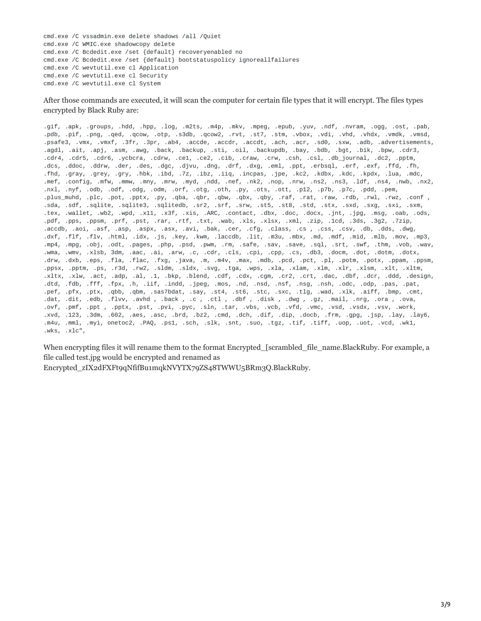cmd.exe /C vssadmin.exe delete shadows /all /Quiet cmd.exe /C WMIC.exe shadowcopy delete cmd.exe /C Bcdedit.exe /set {default} recoveryenabled no cmd.exe /C Bcdedit.exe /set {default} bootstatuspolicy ignoreallfailures cmd.exe /C wevtutil.exe cl Application cmd.exe /C wevtutil.exe cl Security cmd.exe /C wevtutil.exe cl System

After those commands are executed, it will scan the computer for certain file types that it will encrypt. The files types encrypted by Black Ruby are:

.gif, .apk, .groups, .hdd, .hpp, .log, .m2ts, .m4p, .mkv, .mpeg, .epub, .yuv, .ndf, .nvram, .ogg, .ost, .pab, .pdb, .pif, .png, .qed, .qcow, .otp, .s3db, .qcow2, .rvt, .st7, .stm, .vbox, .vdi, .vhd, .vhdx, .vmdk, .vmsd, .psafe3, .vmx, .vmxf, .3fr, .3pr, .ab4, .accde, .accdr, .accdt, .ach, .acr, .sd0, .sxw, .adb, .advertisements, .agdl, .ait, .apj, .asm, .awg, .back, .backup, .sti, .oil, .backupdb, .bay, .bdb, .bgt, .bik, .bpw, .cdr3, .cdr4, .cdr5, .cdr6, .ycbcra, .cdrw, .ce1, .ce2, .cib, .craw, .crw, .csh, .csl, .db\_journal, .dc2, .pptm, .dcs, .ddoc, .ddrw, .der, .des, .dgc, .djvu, .dng, .drf, .dxg, .eml, .ppt, .erbsql, .erf, .exf, .ffd, .fh, .fhd, .gray, .grey, .gry, .hbk, .ibd, .7z, .ibz, .iiq, .incpas, .jpe, .kc2, .kdbx, .kdc, .kpdx, .lua, .mdc, .mef, .config, .mfw, .mmw, .mny, .mrw, .myd, .ndd, .nef, .nk2, .nop, .nrw, .ns2, .ns3, .ldf, .ns4, .nwb, .nx2, .nxl, .nyf, .odb, .odf, .odg, .odm, .orf, .otg, .oth, .py, .ots, .ott, .p12, .p7b, .p7c, .pdd, .pem, .plus\_muhd, .plc, .pot, .pptx, .py, .qba, .qbr, .qbw, .qbx, .qby, .raf, .rat, .raw, .rdb, .rwl, .rwz, .conf , .sda, .sdf, .sqlite, .sqlite3, .sqlitedb, .sr2, .srf, .srw, .st5, .st8, .std, .stx, .sxd, .sxg, .sxi, .sxm, .tex, .wallet, .wb2, .wpd, .x11, .x3f, .xis, .ARC, .contact, .dbx, .doc, .docx, .jnt, .jpg, .msg, .oab, .ods, .pdf, .pps, .ppsm, .prf, .pst, .rar, .rtf, .txt, .wab, .xls, .xlsx, .xml, .zip, .1cd, .3ds, .3g2, .7zip, .accdb, .aoi, .asf, .asp, .aspx, .asx, .avi, .bak, .cer, .cfg, .class, .cs , .css, .csv, .db, .dds, .dwg, .dxf, .flf, .flv, .html, .idx, .js, .key, .kwm, .laccdb, .lit, .m3u, .mbx, .md, .mdf, .mid, .mlb, .mov, .mp3, .mp4, .mpg, .obj, .odt, .pages, .php, .psd, .pwm, .rm, .safe, .sav, .save, .sql, .srt, .swf, .thm, .vob, .wav, .wma, .wmv, .xlsb, 3dm, .aac, .ai, .arw, .c, .cdr, .cls, .cpi, .cpp, .cs, .db3, .docm, .dot, .dotm, .dotx, .drw, .dxb, .eps, .fla, .flac, .fxg, .java, .m, .m4v, .max, .mdb, .pcd, .pct, .pl, .potm, .potx, .ppam, .ppsm, .ppsx, .pptm, .ps, .r3d, .rw2, .sldm, .sldx, .svg, .tga, .wps, .xla, .xlam, .xlm, .xlr, .xlsm, .xlt, .xltm, .xltx, .xlw, .act, .adp, .al, .1, .bkp, .blend, .cdf, .cdx, .cgm, .cr2, .crt, .dac, .dbf, .dcr, .ddd, .design, .dtd, .fdb, .fff, .fpx, .h, .iif, .indd, .jpeg, .mos, .nd, .nsd, .nsf, .nsg, .nsh, .odc, .odp, .pas, .pat, .pef, .pfx, .ptx, .qbb, .qbm, .sas7bdat, .say, .st4, .st6, .stc, .sxc, .tlg, .wad, .xlk, .aiff, .bmp, .cmt, .dat, .dit, .edb, .flvv, .avhd , .back , .c , .ctl , .dbf , .disk , .dwg , .gz, .mail, .nrg, .ora , .ova, .ovf, .pmf, .ppt , .pptx, .pst, .pvi, .pyc, .sln, .tar, .vbs, .vcb, .vfd, .vmc, .vsd, .vsdx, .vsv, .work, .xvd, .123, .3dm, .602, .aes, .asc, .brd, .bz2, .cmd, .dch, .dif, .dip, .docb, .frm, .gpg, .jsp, .lay, .lay6, .m4u, .mml, .myi, onetoc2, .PAQ, .ps1, .sch, .slk, .snt, .suo, .tgz, .tif, .tiff, .uop, .uot, .vcd, .wk1, .wks, .xlc",

When encrypting files it will rename them to the format Encrypted [scrambled file name.BlackRuby. For example, a file called test.jpg would be encrypted and renamed as

Encrypted\_zIX2dFXFt9qNfifBu1mqkNVYTX79ZS48TWWU5BRm3Q.BlackRuby.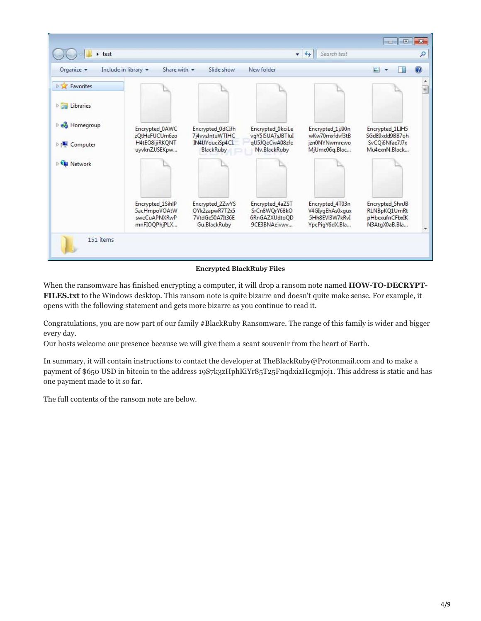

#### **Encrypted BlackRuby Files**

When the ransomware has finished encrypting a computer, it will drop a ransom note named **HOW-TO-DECRYPT-FILES.txt** to the Windows desktop. This ransom note is quite bizarre and doesn't quite make sense. For example, it opens with the following statement and gets more bizarre as you continue to read it.

Congratulations, you are now part of our family #BlackRuby Ransomware. The range of this family is wider and bigger every day.

Our hosts welcome our presence because we will give them a scant souvenir from the heart of Earth.

In summary, it will contain instructions to contact the developer at TheBlackRuby@Protonmail.com and to make a payment of \$650 USD in bitcoin to the address 19S7k3zHphKiYr85T25FnqdxizHcgmjoj1. This address is static and has one payment made to it so far.

The full contents of the ransom note are below.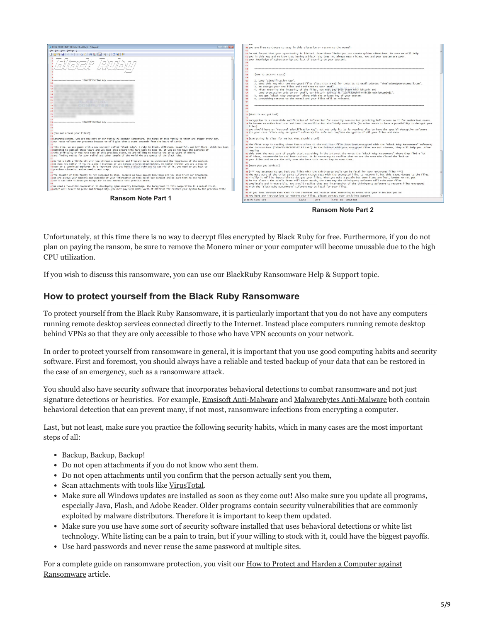

**Ransom Note Part 2**

Unfortunately, at this time there is no way to decrypt files encrypted by Black Ruby for free. Furthermore, if you do not plan on paying the ransom, be sure to remove the Monero miner or your computer will become unusable due to the high CPU utilization.

If you wish to discuss this ransomware, you can use our [BlackRuby Ransomware Help & Support topic](https://www.bleepingcomputer.com/forums/t/670337/black-ruby-ransomware-help-support-blackruby-how-to-decrypt-filestxt/).

## **How to protect yourself from the Black Ruby Ransomware**

To protect yourself from the Black Ruby Ransomware, it is particularly important that you do not have any computers running remote desktop services connected directly to the Internet. Instead place computers running remote desktop behind VPNs so that they are only accessible to those who have VPN accounts on your network.

In order to protect yourself from ransomware in general, it is important that you use good computing habits and security software. First and foremost, you should always have a reliable and tested backup of your data that can be restored in the case of an emergency, such as a ransomware attack.

You should also have security software that incorporates behavioral detections to combat ransomware and not just signature detections or heuristics. For example, [Emsisoft Anti-Malware](https://www.bleepingcomputer.com/download/emsisoft-anti-malware/) and [Malwarebytes Anti-Malware](https://www.bleepingcomputer.com/download/malwarebytes-anti-malware/) both contain behavioral detection that can prevent many, if not most, ransomware infections from encrypting a computer.

Last, but not least, make sure you practice the following security habits, which in many cases are the most important steps of all:

- Backup, Backup, Backup!
- Do not open attachments if you do not know who sent them.
- Do not open attachments until you confirm that the person actually sent you them,
- Scan attachments with tools like [VirusTotal](https://www.virustotal.com/#/home/upload).
- Make sure all Windows updates are installed as soon as they come out! Also make sure you update all programs, especially Java, Flash, and Adobe Reader. Older programs contain security vulnerabilities that are commonly exploited by malware distributors. Therefore it is important to keep them updated.
- Make sure you use have some sort of security software installed that uses behavioral detections or white list technology. White listing can be a pain to train, but if your willing to stock with it, could have the biggest payoffs.
- Use hard passwords and never reuse the same password at multiple sites.

[For a complete guide on ransomware protection, you visit our How to Protect and Harden a Computer against](https://www.bleepingcomputer.com/news/security/how-to-protect-and-harden-a-computer-against-ransomware/) Ransomware article.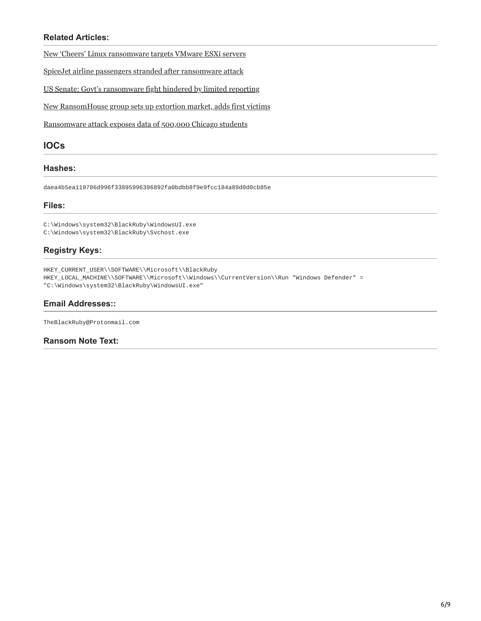## **Related Articles:**

[New 'Cheers' Linux ransomware targets VMware ESXi servers](https://www.bleepingcomputer.com/news/security/new-cheers-linux-ransomware-targets-vmware-esxi-servers/)

[SpiceJet airline passengers stranded after ransomware attack](https://www.bleepingcomputer.com/news/security/spicejet-airline-passengers-stranded-after-ransomware-attack/)

[US Senate: Govt's ransomware fight hindered by limited reporting](https://www.bleepingcomputer.com/news/security/us-senate-govt-s-ransomware-fight-hindered-by-limited-reporting/)

[New RansomHouse group sets up extortion market, adds first victims](https://www.bleepingcomputer.com/news/security/new-ransomhouse-group-sets-up-extortion-market-adds-first-victims/)

[Ransomware attack exposes data of 500,000 Chicago students](https://www.bleepingcomputer.com/news/security/ransomware-attack-exposes-data-of-500-000-chicago-students/)

### **IOCs**

#### **Hashes:**

daea4b5ea119786d996f33895996396892fa0bdbb8f9e9fcc184a89d0d0cb85e

#### **Files:**

C:\Windows\system32\BlackRuby\WindowsUI.exe C:\Windows\system32\BlackRuby\Svchost.exe

## **Registry Keys:**

HKEY\_CURRENT\_USER\\SOFTWARE\\Microsoft\\BlackRuby HKEY\_LOCAL\_MACHINE\\SOFTWARE\\Microsoft\\Windows\\CurrentVersion\\Run "Windows Defender" = "C:\Windows\system32\BlackRuby\WindowsUI.exe"

## **Email Addresses::**

TheBlackRuby@Protonmail.com

### **Ransom Note Text:**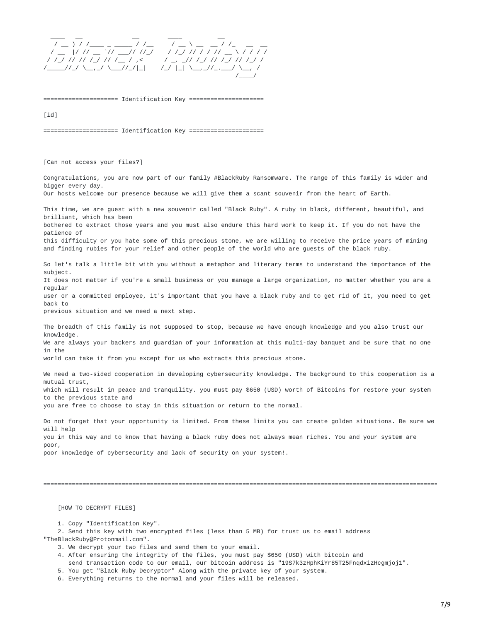$\_\_\_\_\_\_\_\_\_\_$ / \_\_ ) / /\_\_\_ \_ \_\_\_\_ / /\_\_ / \_\_ \ \_\_ \_\_ / /\_ \_\_ \_\_ / \_\_ |/ // \_\_ `// \_\_\_// //\_/ / /\_/ // / / // \_\_ \ / / / / / /\_/ // // /\_/ // /\_\_ / ,< / \_, \_// /\_/ // /\_/ // /\_/ / /\_\_\_\_\_//\_/ \\_\_,\_/ \\_\_\_//\_/|\_| /\_/ |\_| \\_\_,\_//\_.\_\_\_/ \\_\_, / /\_\_\_\_/

===================== Identification Key =====================

 $[id]$ 

===================== Identification Key =====================

[Can not access your files?]

Congratulations, you are now part of our family #BlackRuby Ransomware. The range of this family is wider and bigger every day. Our hosts welcome our presence because we will give them a scant souvenir from the heart of Earth.

This time, we are guest with a new souvenir called "Black Ruby". A ruby in black, different, beautiful, and brilliant, which has been bothered to extract those years and you must also endure this hard work to keep it. If you do not have the patience of this difficulty or you hate some of this precious stone, we are willing to receive the price years of mining and finding rubies for your relief and other people of the world who are guests of the black ruby.

So let's talk a little bit with you without a metaphor and literary terms to understand the importance of the subject. It does not matter if you're a small business or you manage a large organization, no matter whether you are a regular user or a committed employee, it's important that you have a black ruby and to get rid of it, you need to get back to

previous situation and we need a next step.

The breadth of this family is not supposed to stop, because we have enough knowledge and you also trust our knowledge. We are always your backers and guardian of your information at this multi-day banquet and be sure that no one in the world can take it from you except for us who extracts this precious stone.

We need a two-sided cooperation in developing cybersecurity knowledge. The background to this cooperation is a mutual trust, which will result in peace and tranquility. you must pay \$650 (USD) worth of Bitcoins for restore your system to the previous state and you are free to choose to stay in this situation or return to the normal.

Do not forget that your opportunity is limited. From these limits you can create golden situations. Be sure we will help you in this way and to know that having a black ruby does not always mean riches. You and your system are poor,

poor knowledge of cybersecurity and lack of security on your system!.

===============================================================================================================

[HOW TO DECRYPT FILES]

1. Copy "Identification Key".

2. Send this key with two encrypted files (less than 5 MB) for trust us to email address "TheBlackRuby@Protonmail.com".

3. We decrypt your two files and send them to your email.

4. After ensuring the integrity of the files, you must pay \$650 (USD) with bitcoin and

send transaction code to our email, our bitcoin address is "19S7k3zHphKiYr85T25FnqdxizHcgmjoj1".

5. You get "Black Ruby Decryptor" Along with the private key of your system.

6. Everything returns to the normal and your files will be released.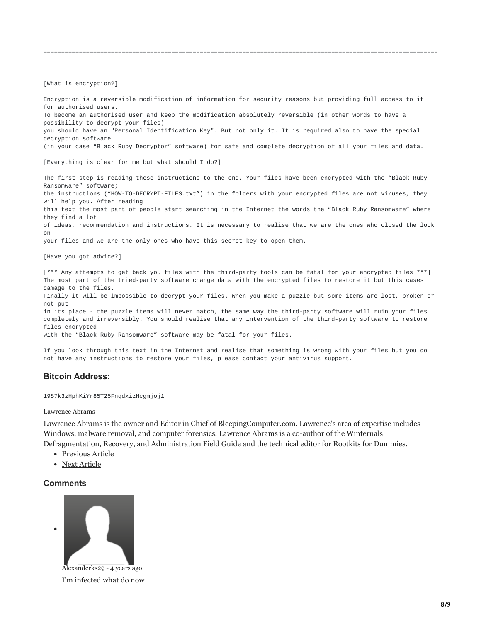[What is encryption?]

Encryption is a reversible modification of information for security reasons but providing full access to it for authorised users. To become an authorised user and keep the modification absolutely reversible (in other words to have a possibility to decrypt your files) you should have an "Personal Identification Key". But not only it. It is required also to have the special decryption software (in your case "Black Ruby Decryptor" software) for safe and complete decryption of all your files and data. [Everything is clear for me but what should I do?] The first step is reading these instructions to the end. Your files have been encrypted with the "Black Ruby Ransomware" software; the instructions ("HOW-TO-DECRYPT-FILES.txt") in the folders with your encrypted files are not viruses, they will help you. After reading this text the most part of people start searching in the Internet the words the "Black Ruby Ransomware" where they find a lot of ideas, recommendation and instructions. It is necessary to realise that we are the ones who closed the lock on your files and we are the only ones who have this secret key to open them. [Have you got advice?] [\*\*\* Any attempts to get back you files with the third-party tools can be fatal for your encrypted files \*\*\*] The most part of the tried-party software change data with the encrypted files to restore it but this cases damage to the files. Finally it will be impossible to decrypt your files. When you make a puzzle but some items are lost, broken or not put in its place - the puzzle items will never match, the same way the third-party software will ruin your files completely and irreversibly. You should realise that any intervention of the third-party software to restore files encrypted with the "Black Ruby Ransomware" software may be fatal for your files.

===============================================================================================================

If you look through this text in the Internet and realise that something is wrong with your files but you do not have any instructions to restore your files, please contact your antivirus support.

#### **Bitcoin Address:**

19S7k3zHphKiYr85T25FnqdxizHcgmjoj1

#### [Lawrence Abrams](https://www.bleepingcomputer.com/author/lawrence-abrams/)

Lawrence Abrams is the owner and Editor in Chief of BleepingComputer.com. Lawrence's area of expertise includes Windows, malware removal, and computer forensics. Lawrence Abrams is a co-author of the Winternals Defragmentation, Recovery, and Administration Field Guide and the technical editor for Rootkits for Dummies.

- [Previous Article](https://www.bleepingcomputer.com/news/cryptocurrency/litecoin-not-monero-is-the-second-most-dominant-dark-web-currency/)
- [Next Article](https://www.bleepingcomputer.com/news/security/dexcrypt-mbrlocker-demands-30-yuan-to-gain-access-to-computer/)

#### <span id="page-7-0"></span>**Comments**



I'm infected what do now